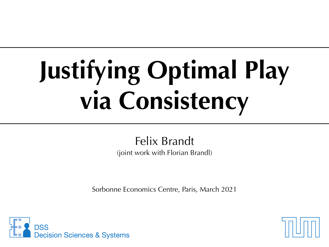## **Justifying Optimal Play via Consistency**

Felix Brandt (joint work with Florian Brandl)

Sorbonne Economics Centre, Paris, March 2021



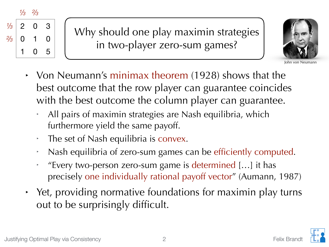*⅓ ⅔*



Why should one play maximin strategies in two-player zero-sum games?



John von Neumann

- ‣ Von Neumann's minimax theorem (1928) shows that the best outcome that the row player can guarantee coincides with the best outcome the column player can guarantee.
	- ‣ All pairs of maximin strategies are Nash equilibria, which furthermore yield the same payoff.
	- ‣ The set of Nash equilibria is convex.
	- ‣ Nash equilibria of zero-sum games can be efficiently computed.
	- ‣ "Every two-person zero-sum game is determined […] it has precisely one individually rational payoff vector" (Aumann, 1987)
- ‣ Yet, providing normative foundations for maximin play turns out to be surprisingly difficult.

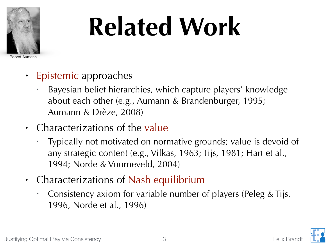

## **Related Work**

Robert Aumann

- ‣ Epistemic approaches
	- ‣ Bayesian belief hierarchies, which capture players' knowledge about each other (e.g., Aumann & Brandenburger, 1995; Aumann & Drèze, 2008)
- ‣ Characterizations of the value
	- ‣ Typically not motivated on normative grounds; value is devoid of any strategic content (e.g., Vilkas, 1963; Tijs, 1981; Hart et al., 1994; Norde & Voorneveld, 2004)
- ‣ Characterizations of Nash equilibrium
	- ‣ Consistency axiom for variable number of players (Peleg & Tijs, 1996, Norde et al., 1996)

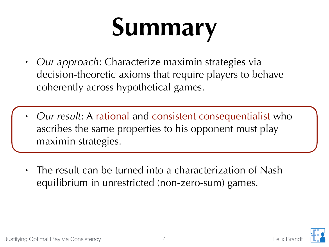### **Summary**

- ‣ *Our approach*: Characterize maximin strategies via decision-theoretic axioms that require players to behave coherently across hypothetical games.
- ‣ *Our result*: A rational and consistent consequentialist who ascribes the same properties to his opponent must play maximin strategies.
- The result can be turned into a characterization of Nash equilibrium in unrestricted (non-zero-sum) games.

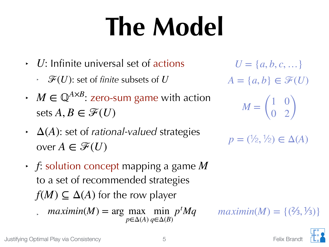### **The Model**

- ‣ : Infinite universal set of actions *U*
	- $\cdot$   $\ \mathscr{F}(U)$ : set of *finite* subsets of  $U$
- $\cdot$  *M*  $\in \mathbb{Q}^{A \times B}$ : zero-sum game with action sets  $A, B \in \mathscr{F}(U)$
- $\Delta(A)$ : set of *rational-valued* strategies over  $A \in \mathscr{F}(U)$
- ‣ : solution concept mapping a game *f M* to a set of recommended strategies  $f(M)\subseteq \Delta(A)$  for the row player
	- *maximin*(*M*) = arg max min  $p<sup>t</sup>Mq$ *p*∈Δ(*A*) *q*∈Δ(*B*)

 $U = \{a, b, c, ...\}$  $A = \{a, b\} \in \mathcal{F}(U)$ *<sup>M</sup>* <sup>=</sup> ( 1 0  $0 \t2)$ 

 $p = (\frac{1}{2}, \frac{1}{2}) \in \Delta(A)$ 

*maximin*(*M*) = {( $\frac{2}{3}, \frac{1}{3}$ }

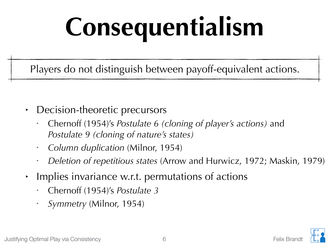## **Consequentialism**

Players do not distinguish between payoff-equivalent actions.

- ‣ Decision-theoretic precursors
	- ‣ Chernoff (1954)'s *Postulate 6 (cloning of player's actions)* and *Postulate 9 (cloning of nature's states)*
	- ‣ *Column duplication* (Milnor, 1954)
	- ‣ *Deletion of repetitious states* (Arrow and Hurwicz, 1972; Maskin, 1979)
- Implies invariance w.r.t. permutations of actions
	- ‣ Chernoff (1954)'s *Postulate 3*
	- ‣ *Symmetry* (Milnor, 1954)

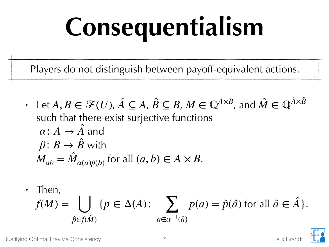## **Consequentialism**

Players do not distinguish between payoff-equivalent actions.

 $\cdot$  Let  $A, B \in \mathcal{F}(U)$ ,  $\hat{A} \subseteq A$ ,  $\hat{B} \subseteq B$ ,  $M \in \mathbb{Q}^{A \times B}$ , and  $\hat{M} \in \mathbb{Q}^{\hat{A} \times \hat{B}}$ such that there exist surjective functions  $\alpha$ :  $A \rightarrow A$  and  $\beta\colon B\to B$  with  $M_{ab} = M_{\alpha(a)\beta(b)}$  for all  $(a, b) \in A \times B$ . ̂ ̂

$$
f(M) = \bigcup_{\hat{p} \in f(\hat{M})} \{p \in Δ(A): \sum_{a \in α^{-1}(\hat{a})} p(a) = \hat{p}(\hat{a}) \text{ for all } \hat{a} \in \hat{A}\}.
$$

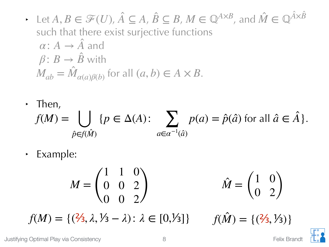$\rightarrow$  Let  $A, B \in \mathcal{F}(U), \hat{A} \subseteq A, \hat{B} \subseteq B, M \in \mathbb{Q}^{A \times B}$ , and  $\hat{M} \in \mathbb{Q}^{\hat{A} \times \hat{B}}$ such that there exist surjective functions  $\alpha$ :  $A \rightarrow A$  and  $\beta\colon B\to B$  with  $M_{ab} = M_{\alpha(a)\beta(b)}$  for all  $(a, b) \in A \times B$ . ̂ ̂

$$
f(M) = \bigcup_{\hat{p} \in f(\hat{M})} \{p \in Δ(A): \sum_{a \in α^{-1}(\hat{a})} p(a) = \hat{p}(\hat{a}) \text{ for all } \hat{a} \in \hat{A}\}.
$$

‣ Example:

$$
M = \begin{pmatrix} 1 & 1 & 0 \\ 0 & 0 & 2 \\ 0 & 0 & 2 \end{pmatrix} \qquad \hat{M} = \begin{pmatrix} 1 & 0 \\ 0 & 2 \end{pmatrix}
$$

 $f(M) = \{ (2/3, \lambda, \lambda/3 - \lambda) : \lambda \in [0, \lambda/3] \}$ ̂  $f(\hat{M}) = \{(\frac{2}{3}, \frac{1}{3})\}$ 

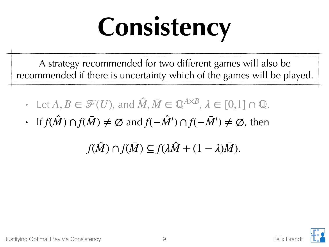## **Consistency**

A strategy recommended for two different games will also be recommended if there is uncertainty which of the games will be played.

- $\vdash$  Let  $A, B \in \mathcal{F}(U)$ , and  $\hat{M}, \bar{M} \in \mathbb{Q}^{A \times B}$ ,  $\lambda \in [0,1] \cap \mathbb{Q}$ . ̂
- $\cdot$  If  $f(\hat{M}) \cap f(\bar{M}) \neq \emptyset$  and  $f(-\hat{M}^t) \cap f(-\bar{M}^t) \neq \emptyset$ , then ̂

 $f(\hat{M}) \cap f(\bar{M}) \subseteq f(\lambda \hat{M} + (1 - \lambda)\bar{M}).$ ̂ ̂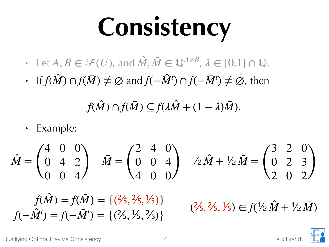### **Consistency**

- $\vdash$  Let  $A, B \in \mathcal{F}(U)$ , and  $\hat{M}, \bar{M} \in \mathbb{Q}^{A \times B}$ ,  $\lambda \in [0,1] \cap \mathbb{Q}$ . ̂
- $\cdot$  If  $f(\hat{M}) \cap f(\bar{M}) \neq \emptyset$  and  $f(-\hat{M}^t) \cap f(-\bar{M}^t) \neq \emptyset$ , then ̂

$$
f(\hat{M}) \cap f(\bar{M}) \subseteq f(\lambda \hat{M} + (1 - \lambda)\bar{M}).
$$

‣ Example:

$$
\hat{M} = \begin{pmatrix} 4 & 0 & 0 \\ 0 & 4 & 2 \\ 0 & 0 & 4 \end{pmatrix} \quad \bar{M} = \begin{pmatrix} 2 & 4 & 0 \\ 0 & 0 & 4 \\ 4 & 0 & 0 \end{pmatrix} \quad \frac{1}{2}\hat{M} + \frac{1}{2}\bar{M} = \begin{pmatrix} 3 & 2 & 0 \\ 0 & 2 & 3 \\ 2 & 0 & 2 \end{pmatrix}
$$

$$
f(\hat{M}) = f(\bar{M}) = \{ (2/5, 2/5, 1/5) \}
$$

$$
f(-\hat{M}^t) = f(-\bar{M}^t) = \{ (2/5, 1/5, 2/5) \}
$$

 $(3, 75, 75)$ <br>  $(3, 25, 75)$ <br>  $(3, 35, 75)$ <br>  $(3, 35, 75)$ <br>  $(3, 35, 75)$ <br>  $(3, 35, 75)$ <br>  $(3, 35, 75)$ <br>  $(3, 35, 75)$ <br>  $(3, 35, 75)$ ̂

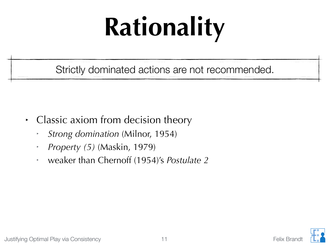## **Rationality**

Strictly dominated actions are not recommended.

- ‣ Classic axiom from decision theory
	- ‣ *Strong domination* (Milnor, 1954)
	- ‣ *Property (5)* (Maskin, 1979)
	- ‣ weaker than Chernoff (1954)'s *Postulate 2*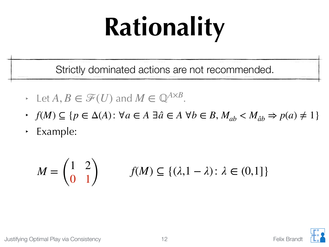## **Rationality**

Strictly dominated actions are not recommended.

- $\rightarrow$  Let  $A, B \in \mathcal{F}(U)$  and  $M \in \mathbb{Q}^{A \times B}$ .
- ‣ *f*(*M*) ⊆ {*p* ∈ Δ(*A*): ∀*a* ∈ *A* ∃*a* ̂∈ *A* ∀*b* ∈ *B*, *Mab* < *Mab*̂ ⇒ *p*(*a*) ≠ 1}
- ‣ Example:

$$
M = \begin{pmatrix} 1 & 2 \\ 0 & 1 \end{pmatrix} \qquad f(M) \subseteq \{ (\lambda, 1 - \lambda) : \lambda \in (0, 1] \}
$$

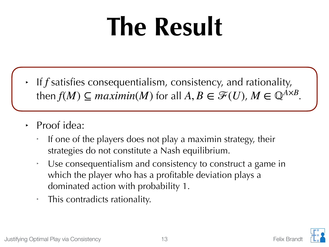### **The Result**

- $\cdot$  If  $f$  satisfies consequentialism, consistency, and rationality, then  $f(M) \subseteq maximin(M)$  for all  $A, B \in \mathcal{F}(U)$ ,  $M \in \mathbb{Q}^{A \times B}$ .
- Proof idea:
	- If one of the players does not play a maximin strategy, their strategies do not constitute a Nash equilibrium.
	- ‣ Use consequentialism and consistency to construct a game in which the player who has a profitable deviation plays a dominated action with probability 1.
	- ‣ This contradicts rationality.

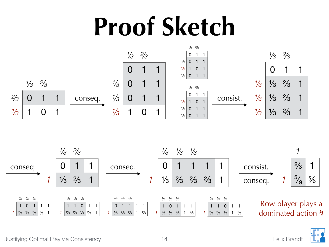### **Proof Sketch**







Justifying Optimal Play via Consistency 14 and 14 and 14 and 14 and 15 Felix Brandt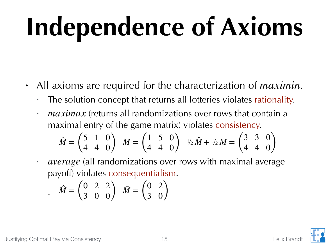## **Independence of Axioms**

- All axioms are required for the characterization of *maximin*.
	- ‣ The solution concept that returns all lotteries violates rationality.
	- *maximax* (returns all randomizations over rows that contain a maximal entry of the game matrix) violates consistency.  $\hat{M} = \begin{pmatrix} 5 & 1 & 0 \\ 4 & 4 & 0 \end{pmatrix}$  $\begin{array}{cc} 3 & 1 & 0 \\ 4 & 4 & 0 \end{array}$   $\bar{M} = \begin{pmatrix} 1 & 0 & 0 \\ 0 & 0 & 0 \\ 0 & 0 & 0 \end{pmatrix}$  $\begin{pmatrix} 1 & 5 & 0 \\ 4 & 4 & 0 \end{pmatrix}$   $\sqrt{2M} + \sqrt{2M} = \begin{pmatrix} 3 & 3 & 0 \\ 4 & 4 & 0 \end{pmatrix}$ 4 4 0)
	- *average* (all randomizations over rows with maximal average payoff) violates consequentialism.

$$
\hat{M} = \begin{pmatrix} 0 & 2 & 2 \\ 3 & 0 & 0 \end{pmatrix} \quad \bar{M} = \begin{pmatrix} 0 & 2 \\ 3 & 0 \end{pmatrix}
$$

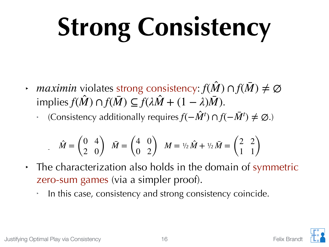# **Strong Consistency**

- $\rightarrow$  *maximin* violates strong consistency:  $f(\hat{M}) \cap f(\bar{M}) \neq \emptyset$  $f(\hat{M}) \cap f(\bar{M}) \subseteq f(\lambda \hat{M} + (1 - \lambda)\bar{M}).$ ̂ ̂ ̂
	- $\cdot$  (Consistency additionally requires  $f(-\hat{M}^t) \cap f(-\bar{M}^t) \neq \emptyset$ .)

$$
\hat{M} = \begin{pmatrix} 0 & 4 \\ 2 & 0 \end{pmatrix} \quad \bar{M} = \begin{pmatrix} 4 & 0 \\ 0 & 2 \end{pmatrix} \quad M = \frac{1}{2} \hat{M} + \frac{1}{2} \bar{M} = \begin{pmatrix} 2 & 2 \\ 1 & 1 \end{pmatrix}
$$

- ‣ The characterization also holds in the domain of symmetric zero-sum games (via a simpler proof).
	- ‣ In this case, consistency and strong consistency coincide.